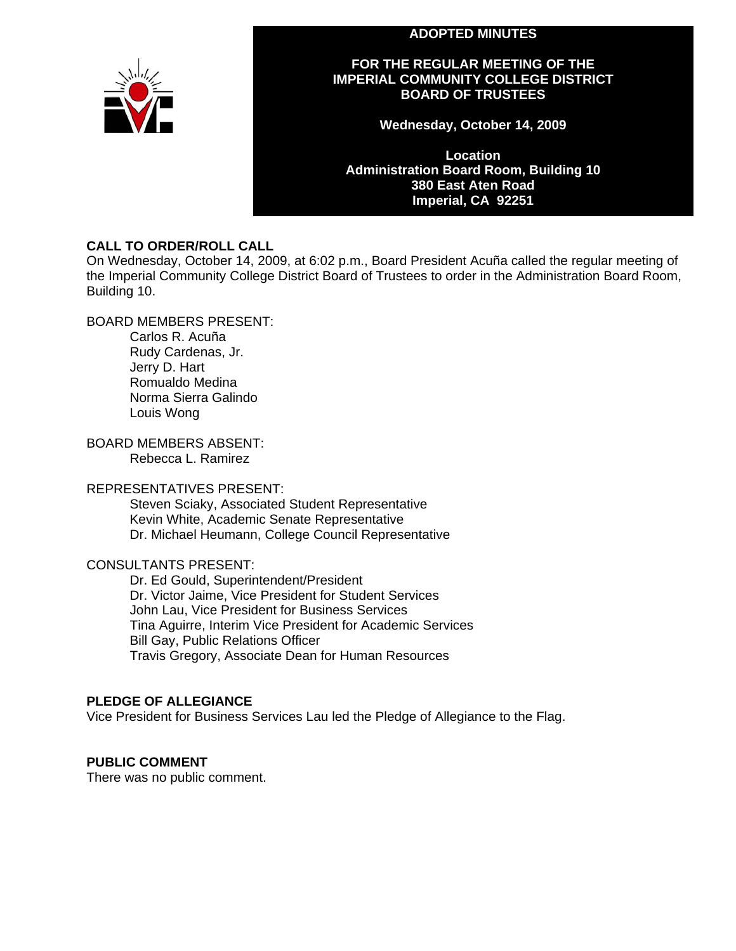## **ADOPTED MINUTES**



# **FOR THE REGULAR MEETING OF THE IMPERIAL COMMUNITY COLLEGE DISTRICT BOARD OF TRUSTEES**

**Wednesday, October 14, 2009** 

**Location Administration Board Room, Building 10 380 East Aten Road Imperial, CA 92251** 

# **CALL TO ORDER/ROLL CALL**

On Wednesday, October 14, 2009, at 6:02 p.m., Board President Acuña called the regular meeting of the Imperial Community College District Board of Trustees to order in the Administration Board Room, Building 10.

BOARD MEMBERS PRESENT:

Carlos R. Acuña Rudy Cardenas, Jr. Jerry D. Hart Romualdo Medina Norma Sierra Galindo Louis Wong

BOARD MEMBERS ABSENT: Rebecca L. Ramirez

## REPRESENTATIVES PRESENT:

Steven Sciaky, Associated Student Representative Kevin White, Academic Senate Representative Dr. Michael Heumann, College Council Representative

# CONSULTANTS PRESENT:

Dr. Ed Gould, Superintendent/President Dr. Victor Jaime, Vice President for Student Services John Lau, Vice President for Business Services Tina Aguirre, Interim Vice President for Academic Services Bill Gay, Public Relations Officer Travis Gregory, Associate Dean for Human Resources

# **PLEDGE OF ALLEGIANCE**

Vice President for Business Services Lau led the Pledge of Allegiance to the Flag.

# **PUBLIC COMMENT**

There was no public comment.